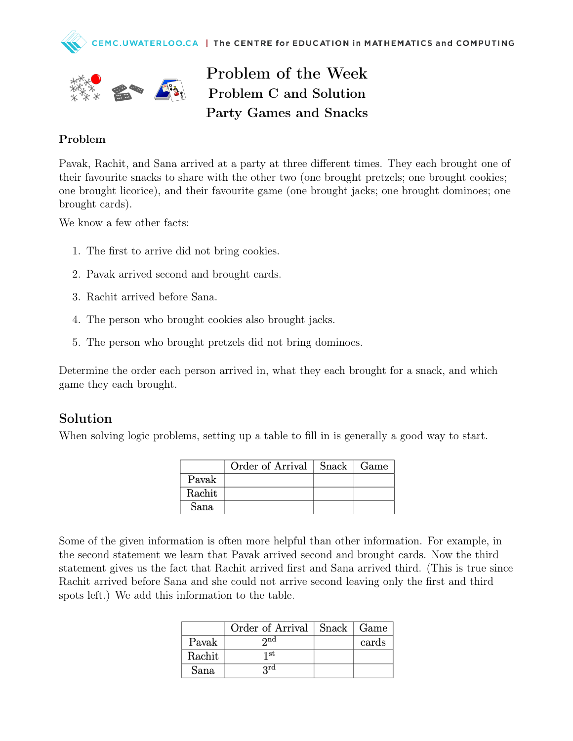



Problem of the Week Problem C and Solution Party Games and Snacks

## Problem

Pavak, Rachit, and Sana arrived at a party at three different times. They each brought one of their favourite snacks to share with the other two (one brought pretzels; one brought cookies; one brought licorice), and their favourite game (one brought jacks; one brought dominoes; one brought cards).

We know a few other facts:

- 1. The first to arrive did not bring cookies.
- 2. Pavak arrived second and brought cards.
- 3. Rachit arrived before Sana.
- 4. The person who brought cookies also brought jacks.
- 5. The person who brought pretzels did not bring dominoes.

Determine the order each person arrived in, what they each brought for a snack, and which game they each brought.

## Solution

When solving logic problems, setting up a table to fill in is generally a good way to start.

|        | Order of Arrival | $Snack \mid Game$ |  |
|--------|------------------|-------------------|--|
| Pavak  |                  |                   |  |
| Rachit |                  |                   |  |
| Sana   |                  |                   |  |

Some of the given information is often more helpful than other information. For example, in the second statement we learn that Pavak arrived second and brought cards. Now the third statement gives us the fact that Rachit arrived first and Sana arrived third. (This is true since Rachit arrived before Sana and she could not arrive second leaving only the first and third spots left.) We add this information to the table.

|        | Order of Arrival   Snack   Game |       |
|--------|---------------------------------|-------|
| Pavak  | $\boldsymbol{\gamma}$ nd        | cards |
| Rachit | 1 st                            |       |
| Sana   | <b>Qrd</b>                      |       |